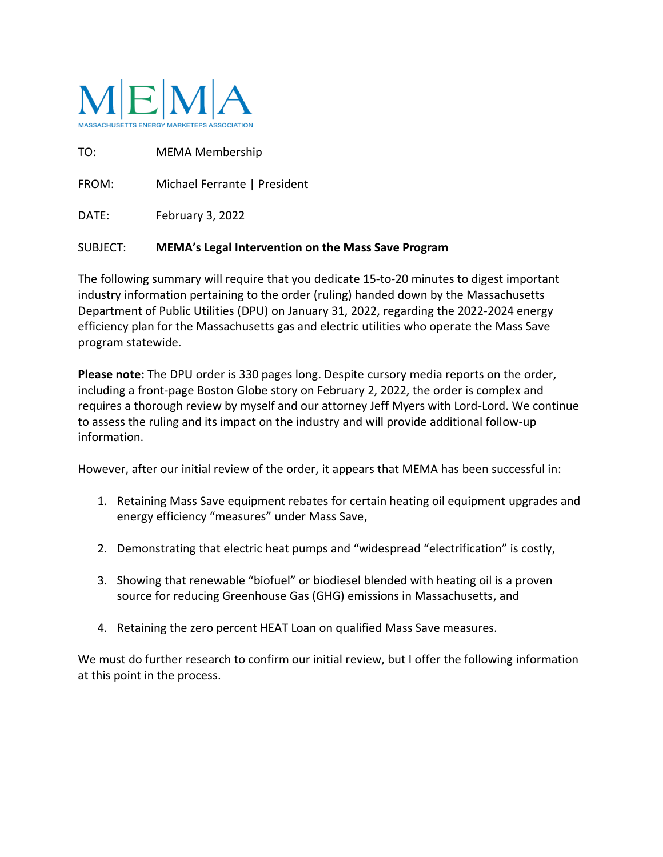

TO: MEMA Membership FROM: Michael Ferrante | President DATE: February 3, 2022

## SUBJECT: **MEMA's Legal Intervention on the Mass Save Program**

The following summary will require that you dedicate 15-to-20 minutes to digest important industry information pertaining to the order (ruling) handed down by the Massachusetts Department of Public Utilities (DPU) on January 31, 2022, regarding the 2022-2024 energy efficiency plan for the Massachusetts gas and electric utilities who operate the Mass Save program statewide.

**Please note:** The DPU order is 330 pages long. Despite cursory media reports on the order, including a front-page Boston Globe story on February 2, 2022, the order is complex and requires a thorough review by myself and our attorney Jeff Myers with Lord-Lord. We continue to assess the ruling and its impact on the industry and will provide additional follow-up information.

However, after our initial review of the order, it appears that MEMA has been successful in:

- 1. Retaining Mass Save equipment rebates for certain heating oil equipment upgrades and energy efficiency "measures" under Mass Save,
- 2. Demonstrating that electric heat pumps and "widespread "electrification" is costly,
- 3. Showing that renewable "biofuel" or biodiesel blended with heating oil is a proven source for reducing Greenhouse Gas (GHG) emissions in Massachusetts, and
- 4. Retaining the zero percent HEAT Loan on qualified Mass Save measures.

We must do further research to confirm our initial review, but I offer the following information at this point in the process.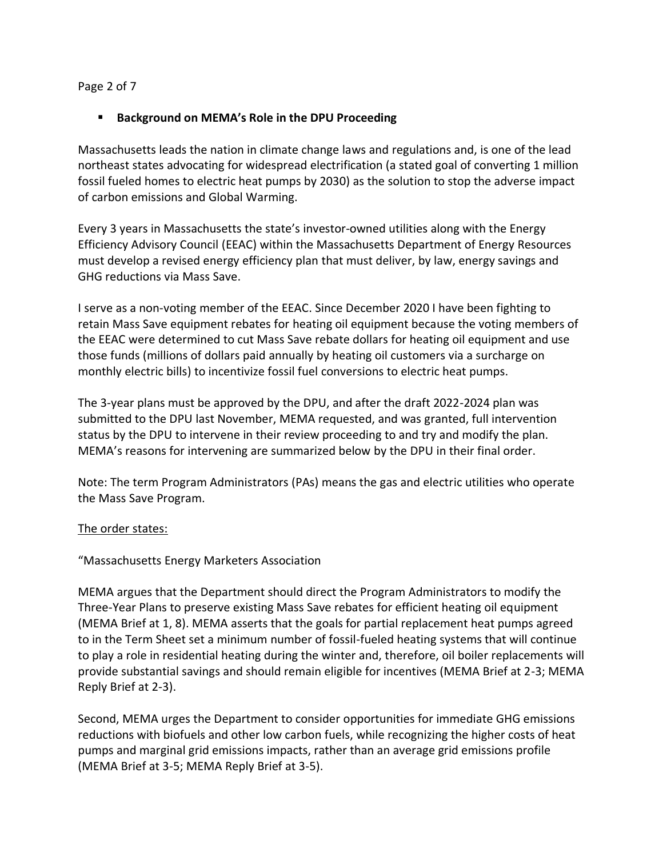#### Page 2 of 7

#### ▪ **Background on MEMA's Role in the DPU Proceeding**

Massachusetts leads the nation in climate change laws and regulations and, is one of the lead northeast states advocating for widespread electrification (a stated goal of converting 1 million fossil fueled homes to electric heat pumps by 2030) as the solution to stop the adverse impact of carbon emissions and Global Warming.

Every 3 years in Massachusetts the state's investor-owned utilities along with the Energy Efficiency Advisory Council (EEAC) within the Massachusetts Department of Energy Resources must develop a revised energy efficiency plan that must deliver, by law, energy savings and GHG reductions via Mass Save.

I serve as a non-voting member of the EEAC. Since December 2020 I have been fighting to retain Mass Save equipment rebates for heating oil equipment because the voting members of the EEAC were determined to cut Mass Save rebate dollars for heating oil equipment and use those funds (millions of dollars paid annually by heating oil customers via a surcharge on monthly electric bills) to incentivize fossil fuel conversions to electric heat pumps.

The 3-year plans must be approved by the DPU, and after the draft 2022-2024 plan was submitted to the DPU last November, MEMA requested, and was granted, full intervention status by the DPU to intervene in their review proceeding to and try and modify the plan. MEMA's reasons for intervening are summarized below by the DPU in their final order.

Note: The term Program Administrators (PAs) means the gas and electric utilities who operate the Mass Save Program.

#### The order states:

"Massachusetts Energy Marketers Association

MEMA argues that the Department should direct the Program Administrators to modify the Three-Year Plans to preserve existing Mass Save rebates for efficient heating oil equipment (MEMA Brief at 1, 8). MEMA asserts that the goals for partial replacement heat pumps agreed to in the Term Sheet set a minimum number of fossil-fueled heating systems that will continue to play a role in residential heating during the winter and, therefore, oil boiler replacements will provide substantial savings and should remain eligible for incentives (MEMA Brief at 2-3; MEMA Reply Brief at 2-3).

Second, MEMA urges the Department to consider opportunities for immediate GHG emissions reductions with biofuels and other low carbon fuels, while recognizing the higher costs of heat pumps and marginal grid emissions impacts, rather than an average grid emissions profile (MEMA Brief at 3-5; MEMA Reply Brief at 3-5).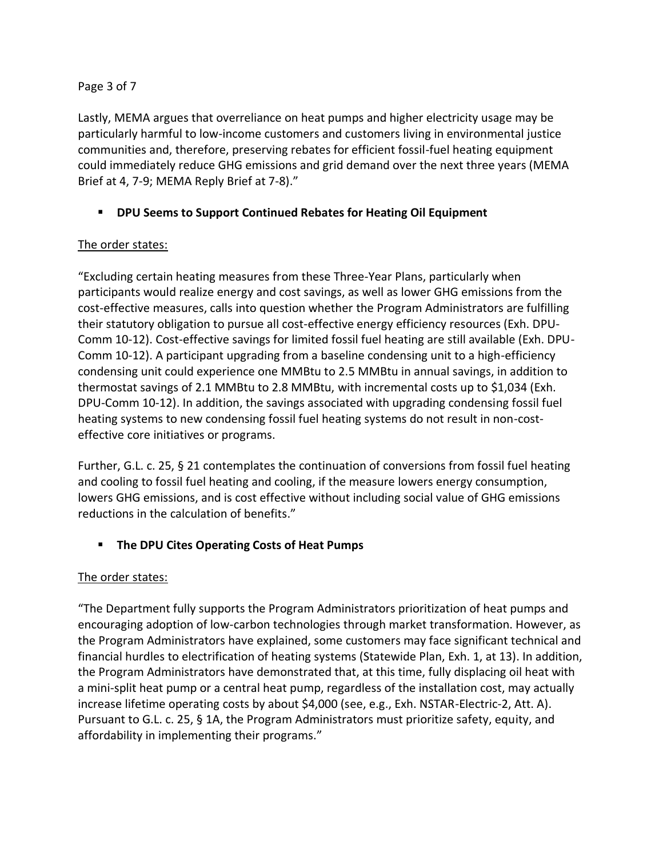#### Page 3 of 7

Lastly, MEMA argues that overreliance on heat pumps and higher electricity usage may be particularly harmful to low-income customers and customers living in environmental justice communities and, therefore, preserving rebates for efficient fossil-fuel heating equipment could immediately reduce GHG emissions and grid demand over the next three years (MEMA Brief at 4, 7-9; MEMA Reply Brief at 7-8)."

# ▪ **DPU Seems to Support Continued Rebates for Heating Oil Equipment**

## The order states:

"Excluding certain heating measures from these Three-Year Plans, particularly when participants would realize energy and cost savings, as well as lower GHG emissions from the cost-effective measures, calls into question whether the Program Administrators are fulfilling their statutory obligation to pursue all cost-effective energy efficiency resources (Exh. DPU-Comm 10-12). Cost-effective savings for limited fossil fuel heating are still available (Exh. DPU-Comm 10-12). A participant upgrading from a baseline condensing unit to a high-efficiency condensing unit could experience one MMBtu to 2.5 MMBtu in annual savings, in addition to thermostat savings of 2.1 MMBtu to 2.8 MMBtu, with incremental costs up to \$1,034 (Exh. DPU-Comm 10-12). In addition, the savings associated with upgrading condensing fossil fuel heating systems to new condensing fossil fuel heating systems do not result in non-costeffective core initiatives or programs.

Further, G.L. c. 25, § 21 contemplates the continuation of conversions from fossil fuel heating and cooling to fossil fuel heating and cooling, if the measure lowers energy consumption, lowers GHG emissions, and is cost effective without including social value of GHG emissions reductions in the calculation of benefits."

# **The DPU Cites Operating Costs of Heat Pumps**

## The order states:

"The Department fully supports the Program Administrators prioritization of heat pumps and encouraging adoption of low-carbon technologies through market transformation. However, as the Program Administrators have explained, some customers may face significant technical and financial hurdles to electrification of heating systems (Statewide Plan, Exh. 1, at 13). In addition, the Program Administrators have demonstrated that, at this time, fully displacing oil heat with a mini-split heat pump or a central heat pump, regardless of the installation cost, may actually increase lifetime operating costs by about \$4,000 (see, e.g., Exh. NSTAR-Electric-2, Att. A). Pursuant to G.L. c. 25, § 1A, the Program Administrators must prioritize safety, equity, and affordability in implementing their programs."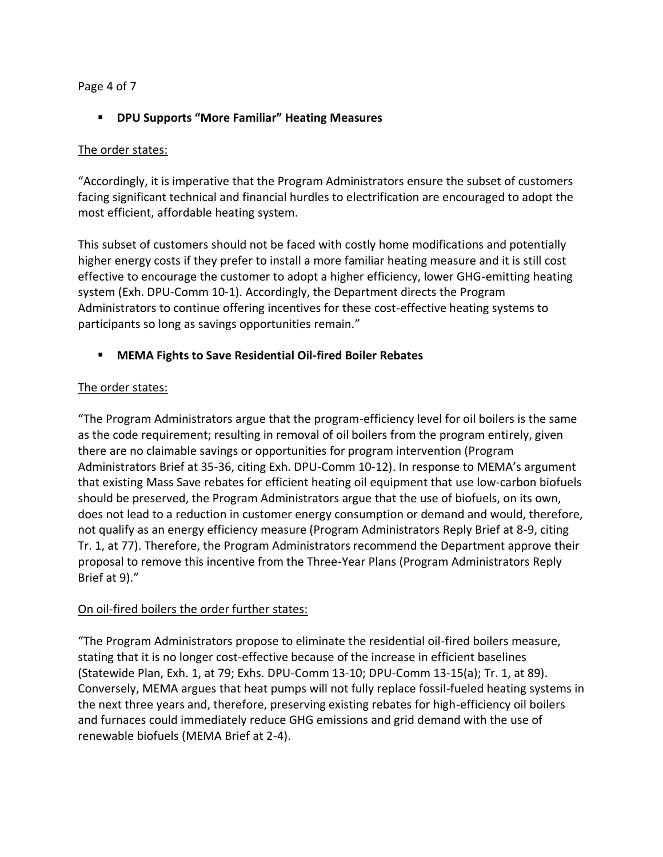#### Page 4 of 7

## ▪ **DPU Supports "More Familiar" Heating Measures**

#### The order states:

"Accordingly, it is imperative that the Program Administrators ensure the subset of customers facing significant technical and financial hurdles to electrification are encouraged to adopt the most efficient, affordable heating system.

This subset of customers should not be faced with costly home modifications and potentially higher energy costs if they prefer to install a more familiar heating measure and it is still cost effective to encourage the customer to adopt a higher efficiency, lower GHG-emitting heating system (Exh. DPU-Comm 10-1). Accordingly, the Department directs the Program Administrators to continue offering incentives for these cost-effective heating systems to participants so long as savings opportunities remain."

## ▪ **MEMA Fights to Save Residential Oil-fired Boiler Rebates**

## The order states:

"The Program Administrators argue that the program-efficiency level for oil boilers is the same as the code requirement; resulting in removal of oil boilers from the program entirely, given there are no claimable savings or opportunities for program intervention (Program Administrators Brief at 35-36, citing Exh. DPU-Comm 10-12). In response to MEMA's argument that existing Mass Save rebates for efficient heating oil equipment that use low-carbon biofuels should be preserved, the Program Administrators argue that the use of biofuels, on its own, does not lead to a reduction in customer energy consumption or demand and would, therefore, not qualify as an energy efficiency measure (Program Administrators Reply Brief at 8-9, citing Tr. 1, at 77). Therefore, the Program Administrators recommend the Department approve their proposal to remove this incentive from the Three-Year Plans (Program Administrators Reply Brief at 9)."

## On oil-fired boilers the order further states:

"The Program Administrators propose to eliminate the residential oil-fired boilers measure, stating that it is no longer cost-effective because of the increase in efficient baselines (Statewide Plan, Exh. 1, at 79; Exhs. DPU-Comm 13-10; DPU-Comm 13-15(a); Tr. 1, at 89). Conversely, MEMA argues that heat pumps will not fully replace fossil-fueled heating systems in the next three years and, therefore, preserving existing rebates for high-efficiency oil boilers and furnaces could immediately reduce GHG emissions and grid demand with the use of renewable biofuels (MEMA Brief at 2-4).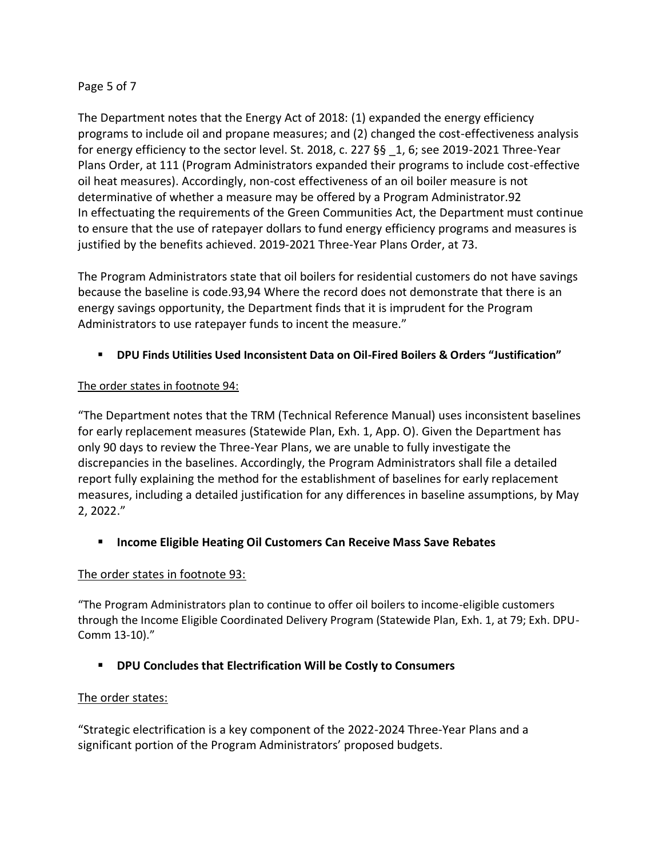#### Page 5 of 7

The Department notes that the Energy Act of 2018: (1) expanded the energy efficiency programs to include oil and propane measures; and (2) changed the cost-effectiveness analysis for energy efficiency to the sector level. St. 2018, c. 227  $\S$ § 1, 6; see 2019-2021 Three-Year Plans Order, at 111 (Program Administrators expanded their programs to include cost-effective oil heat measures). Accordingly, non-cost effectiveness of an oil boiler measure is not determinative of whether a measure may be offered by a Program Administrator.92 In effectuating the requirements of the Green Communities Act, the Department must continue to ensure that the use of ratepayer dollars to fund energy efficiency programs and measures is justified by the benefits achieved. 2019-2021 Three-Year Plans Order, at 73.

The Program Administrators state that oil boilers for residential customers do not have savings because the baseline is code.93,94 Where the record does not demonstrate that there is an energy savings opportunity, the Department finds that it is imprudent for the Program Administrators to use ratepayer funds to incent the measure."

## ▪ **DPU Finds Utilities Used Inconsistent Data on Oil-Fired Boilers & Orders "Justification"**

## The order states in footnote 94:

"The Department notes that the TRM (Technical Reference Manual) uses inconsistent baselines for early replacement measures (Statewide Plan, Exh. 1, App. O). Given the Department has only 90 days to review the Three-Year Plans, we are unable to fully investigate the discrepancies in the baselines. Accordingly, the Program Administrators shall file a detailed report fully explaining the method for the establishment of baselines for early replacement measures, including a detailed justification for any differences in baseline assumptions, by May 2, 2022."

## ■ Income Eligible Heating Oil Customers Can Receive Mass Save Rebates

## The order states in footnote 93:

"The Program Administrators plan to continue to offer oil boilers to income-eligible customers through the Income Eligible Coordinated Delivery Program (Statewide Plan, Exh. 1, at 79; Exh. DPU-Comm 13-10)."

# ▪ **DPU Concludes that Electrification Will be Costly to Consumers**

## The order states:

"Strategic electrification is a key component of the 2022-2024 Three-Year Plans and a significant portion of the Program Administrators' proposed budgets.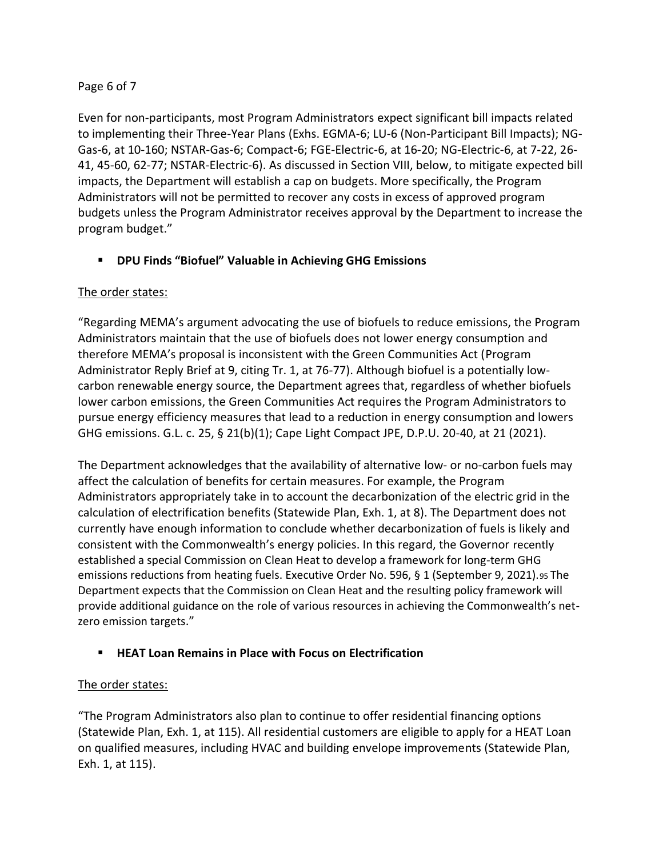## Page 6 of 7

Even for non-participants, most Program Administrators expect significant bill impacts related to implementing their Three-Year Plans (Exhs. EGMA-6; LU-6 (Non-Participant Bill Impacts); NG-Gas-6, at 10-160; NSTAR-Gas-6; Compact-6; FGE-Electric-6, at 16-20; NG-Electric-6, at 7-22, 26- 41, 45-60, 62-77; NSTAR-Electric-6). As discussed in Section VIII, below, to mitigate expected bill impacts, the Department will establish a cap on budgets. More specifically, the Program Administrators will not be permitted to recover any costs in excess of approved program budgets unless the Program Administrator receives approval by the Department to increase the program budget."

# ▪ **DPU Finds "Biofuel" Valuable in Achieving GHG Emissions**

# The order states:

"Regarding MEMA's argument advocating the use of biofuels to reduce emissions, the Program Administrators maintain that the use of biofuels does not lower energy consumption and therefore MEMA's proposal is inconsistent with the Green Communities Act (Program Administrator Reply Brief at 9, citing Tr. 1, at 76-77). Although biofuel is a potentially lowcarbon renewable energy source, the Department agrees that, regardless of whether biofuels lower carbon emissions, the Green Communities Act requires the Program Administrators to pursue energy efficiency measures that lead to a reduction in energy consumption and lowers GHG emissions. G.L. c. 25, § 21(b)(1); Cape Light Compact JPE, D.P.U. 20-40, at 21 (2021).

The Department acknowledges that the availability of alternative low- or no-carbon fuels may affect the calculation of benefits for certain measures. For example, the Program Administrators appropriately take in to account the decarbonization of the electric grid in the calculation of electrification benefits (Statewide Plan, Exh. 1, at 8). The Department does not currently have enough information to conclude whether decarbonization of fuels is likely and consistent with the Commonwealth's energy policies. In this regard, the Governor recently established a special Commission on Clean Heat to develop a framework for long-term GHG emissions reductions from heating fuels. Executive Order No. 596, § 1 (September 9, 2021). 95 The Department expects that the Commission on Clean Heat and the resulting policy framework will provide additional guidance on the role of various resources in achieving the Commonwealth's netzero emission targets."

## ▪ **HEAT Loan Remains in Place with Focus on Electrification**

## The order states:

"The Program Administrators also plan to continue to offer residential financing options (Statewide Plan, Exh. 1, at 115). All residential customers are eligible to apply for a HEAT Loan on qualified measures, including HVAC and building envelope improvements (Statewide Plan, Exh. 1, at 115).